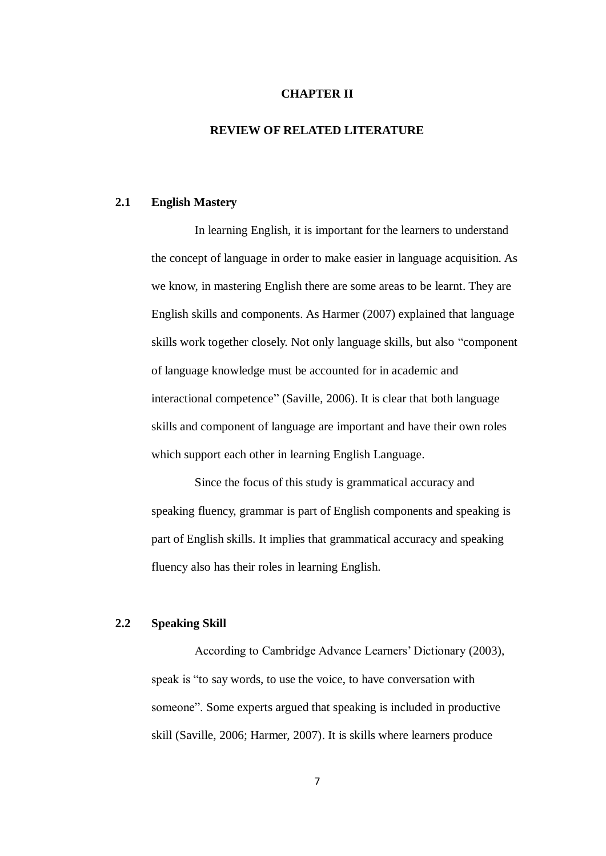#### **CHAPTER II**

### **REVIEW OF RELATED LITERATURE**

#### **2.1 English Mastery**

In learning English, it is important for the learners to understand the concept of language in order to make easier in language acquisition. As we know, in mastering English there are some areas to be learnt. They are English skills and components. As Harmer (2007) explained that language skills work together closely. Not only language skills, but also "component of language knowledge must be accounted for in academic and interactional competence" (Saville, 2006). It is clear that both language skills and component of language are important and have their own roles which support each other in learning English Language.

Since the focus of this study is grammatical accuracy and speaking fluency, grammar is part of English components and speaking is part of English skills. It implies that grammatical accuracy and speaking fluency also has their roles in learning English.

## **2.2 Speaking Skill**

According to Cambridge Advance Learners' Dictionary (2003), speak is "to say words, to use the voice, to have conversation with someone". Some experts argued that speaking is included in productive skill (Saville, 2006; Harmer, 2007). It is skills where learners produce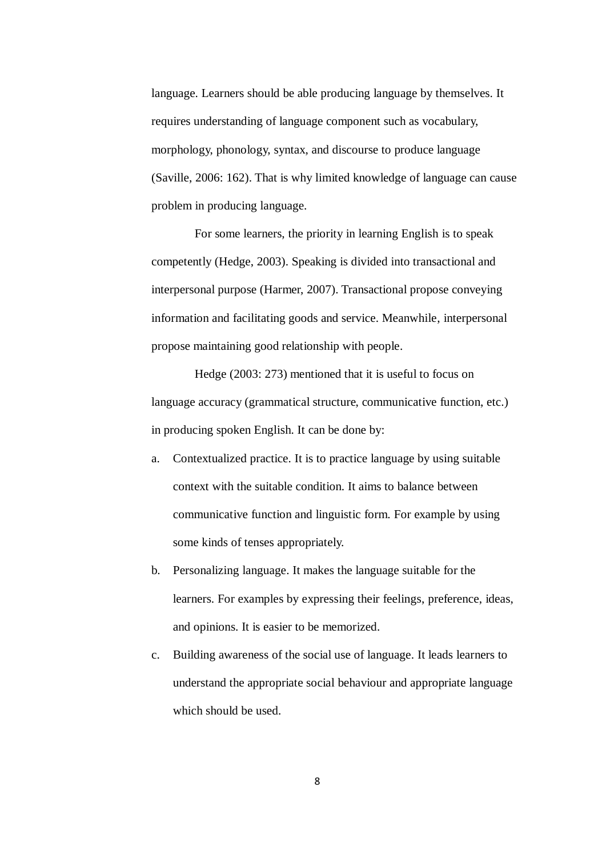language. Learners should be able producing language by themselves. It requires understanding of language component such as vocabulary, morphology, phonology, syntax, and discourse to produce language (Saville, 2006: 162). That is why limited knowledge of language can cause problem in producing language.

For some learners, the priority in learning English is to speak competently (Hedge, 2003). Speaking is divided into transactional and interpersonal purpose (Harmer, 2007). Transactional propose conveying information and facilitating goods and service. Meanwhile, interpersonal propose maintaining good relationship with people.

Hedge (2003: 273) mentioned that it is useful to focus on language accuracy (grammatical structure, communicative function, etc.) in producing spoken English. It can be done by:

- a. Contextualized practice. It is to practice language by using suitable context with the suitable condition. It aims to balance between communicative function and linguistic form. For example by using some kinds of tenses appropriately.
- b. Personalizing language. It makes the language suitable for the learners. For examples by expressing their feelings, preference, ideas, and opinions. It is easier to be memorized.
- c. Building awareness of the social use of language. It leads learners to understand the appropriate social behaviour and appropriate language which should be used.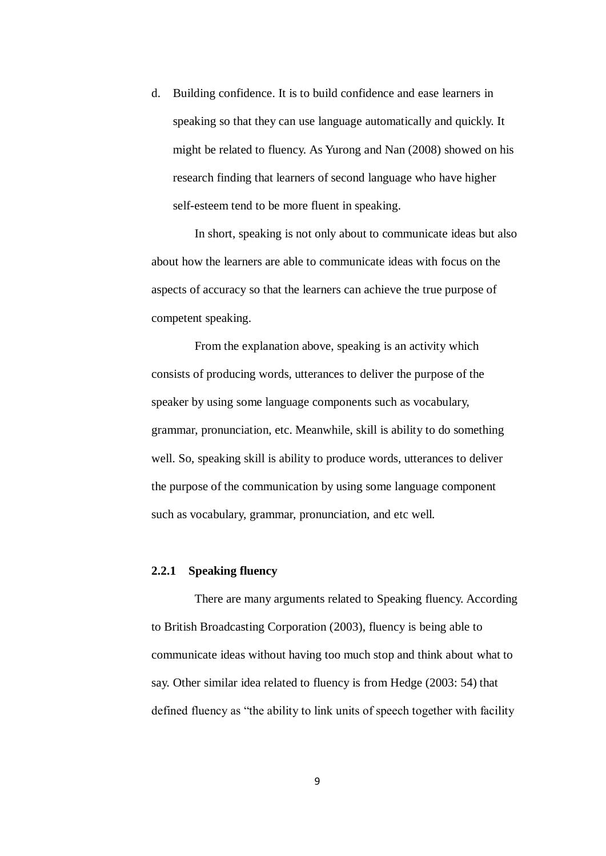d. Building confidence. It is to build confidence and ease learners in speaking so that they can use language automatically and quickly. It might be related to fluency. As Yurong and Nan (2008) showed on his research finding that learners of second language who have higher self-esteem tend to be more fluent in speaking.

In short, speaking is not only about to communicate ideas but also about how the learners are able to communicate ideas with focus on the aspects of accuracy so that the learners can achieve the true purpose of competent speaking.

From the explanation above, speaking is an activity which consists of producing words, utterances to deliver the purpose of the speaker by using some language components such as vocabulary, grammar, pronunciation, etc. Meanwhile, skill is ability to do something well. So, speaking skill is ability to produce words, utterances to deliver the purpose of the communication by using some language component such as vocabulary, grammar, pronunciation, and etc well.

#### **2.2.1 Speaking fluency**

There are many arguments related to Speaking fluency. According to British Broadcasting Corporation (2003), fluency is being able to communicate ideas without having too much stop and think about what to say. Other similar idea related to fluency is from Hedge (2003: 54) that defined fluency as "the ability to link units of speech together with facility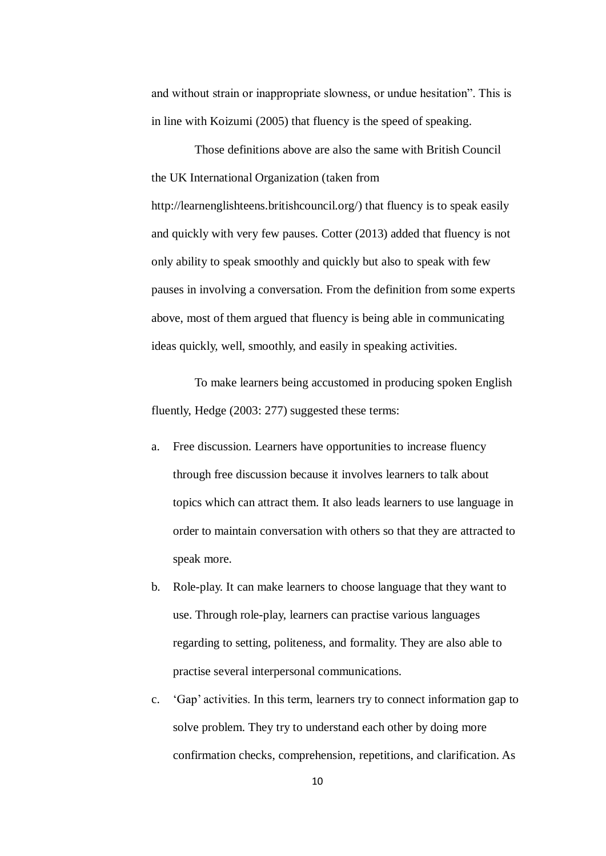and without strain or inappropriate slowness, or undue hesitation". This is in line with Koizumi (2005) that fluency is the speed of speaking.

Those definitions above are also the same with British Council the UK International Organization (taken from http://learnenglishteens.britishcouncil.org/) that fluency is to speak easily and quickly with very few pauses. Cotter (2013) added that fluency is not only ability to speak smoothly and quickly but also to speak with few pauses in involving a conversation. From the definition from some experts above, most of them argued that fluency is being able in communicating ideas quickly, well, smoothly, and easily in speaking activities.

To make learners being accustomed in producing spoken English fluently, Hedge (2003: 277) suggested these terms:

- a. Free discussion. Learners have opportunities to increase fluency through free discussion because it involves learners to talk about topics which can attract them. It also leads learners to use language in order to maintain conversation with others so that they are attracted to speak more.
- b. Role-play. It can make learners to choose language that they want to use. Through role-play, learners can practise various languages regarding to setting, politeness, and formality. They are also able to practise several interpersonal communications.
- c. "Gap" activities. In this term, learners try to connect information gap to solve problem. They try to understand each other by doing more confirmation checks, comprehension, repetitions, and clarification. As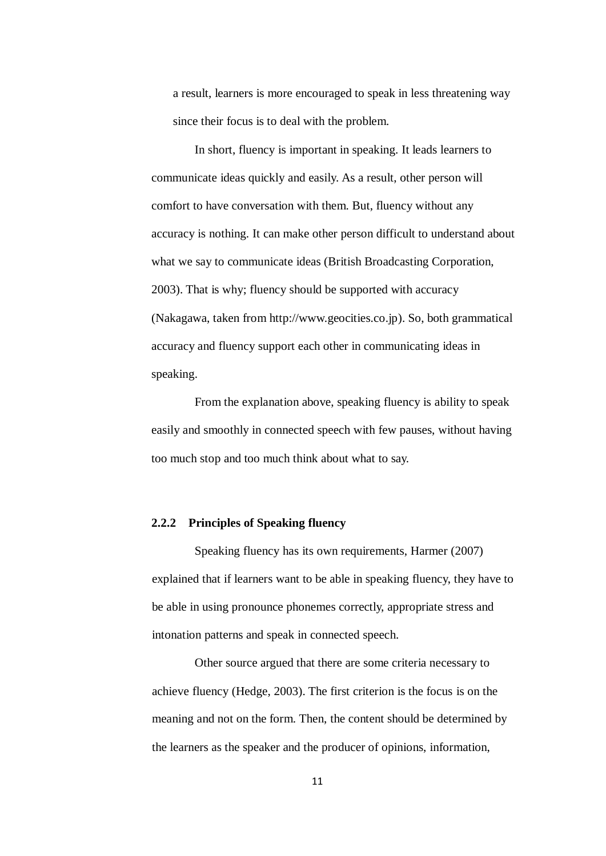a result, learners is more encouraged to speak in less threatening way since their focus is to deal with the problem.

In short, fluency is important in speaking. It leads learners to communicate ideas quickly and easily. As a result, other person will comfort to have conversation with them. But, fluency without any accuracy is nothing. It can make other person difficult to understand about what we say to communicate ideas (British Broadcasting Corporation, 2003). That is why; fluency should be supported with accuracy (Nakagawa, taken from http://www.geocities.co.jp). So, both grammatical accuracy and fluency support each other in communicating ideas in speaking.

From the explanation above, speaking fluency is ability to speak easily and smoothly in connected speech with few pauses, without having too much stop and too much think about what to say.

#### **2.2.2 Principles of Speaking fluency**

Speaking fluency has its own requirements, Harmer (2007) explained that if learners want to be able in speaking fluency, they have to be able in using pronounce phonemes correctly, appropriate stress and intonation patterns and speak in connected speech.

Other source argued that there are some criteria necessary to achieve fluency (Hedge, 2003). The first criterion is the focus is on the meaning and not on the form. Then, the content should be determined by the learners as the speaker and the producer of opinions, information,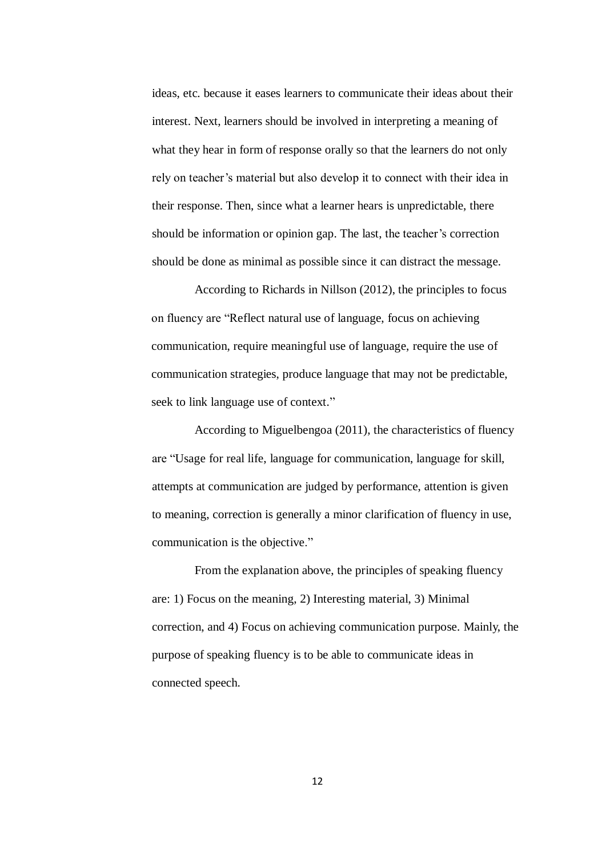ideas, etc. because it eases learners to communicate their ideas about their interest. Next, learners should be involved in interpreting a meaning of what they hear in form of response orally so that the learners do not only rely on teacher"s material but also develop it to connect with their idea in their response. Then, since what a learner hears is unpredictable, there should be information or opinion gap. The last, the teacher's correction should be done as minimal as possible since it can distract the message.

According to Richards in Nillson (2012), the principles to focus on fluency are "Reflect natural use of language, focus on achieving communication, require meaningful use of language, require the use of communication strategies, produce language that may not be predictable, seek to link language use of context."

According to Miguelbengoa (2011), the characteristics of fluency are "Usage for real life, language for communication, language for skill, attempts at communication are judged by performance, attention is given to meaning, correction is generally a minor clarification of fluency in use, communication is the objective."

From the explanation above, the principles of speaking fluency are: 1) Focus on the meaning, 2) Interesting material, 3) Minimal correction, and 4) Focus on achieving communication purpose. Mainly, the purpose of speaking fluency is to be able to communicate ideas in connected speech.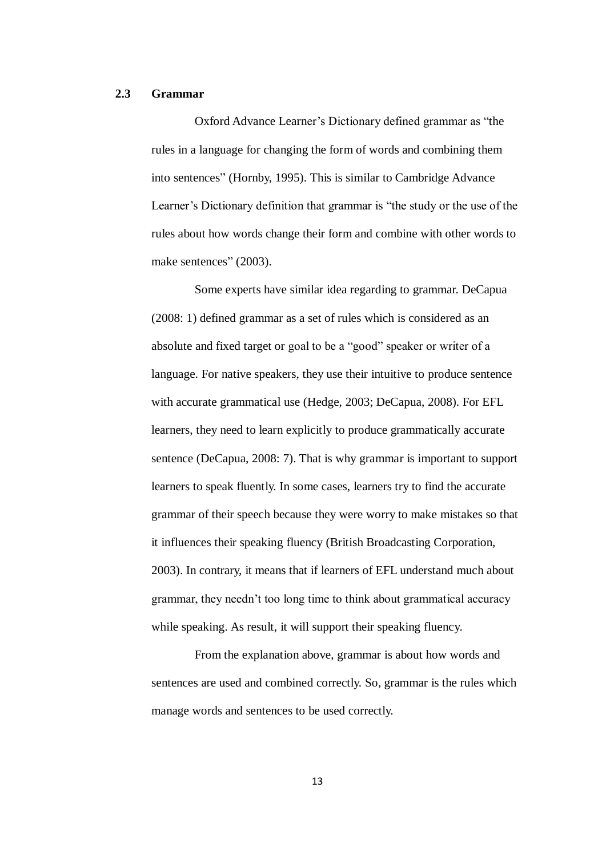#### **2.3 Grammar**

Oxford Advance Learner"s Dictionary defined grammar as "the rules in a language for changing the form of words and combining them into sentences" (Hornby, 1995). This is similar to Cambridge Advance Learner's Dictionary definition that grammar is "the study or the use of the rules about how words change their form and combine with other words to make sentences" (2003).

Some experts have similar idea regarding to grammar. DeCapua (2008: 1) defined grammar as a set of rules which is considered as an absolute and fixed target or goal to be a "good" speaker or writer of a language. For native speakers, they use their intuitive to produce sentence with accurate grammatical use (Hedge, 2003; DeCapua, 2008). For EFL learners, they need to learn explicitly to produce grammatically accurate sentence (DeCapua, 2008: 7). That is why grammar is important to support learners to speak fluently. In some cases, learners try to find the accurate grammar of their speech because they were worry to make mistakes so that it influences their speaking fluency (British Broadcasting Corporation, 2003). In contrary, it means that if learners of EFL understand much about grammar, they needn"t too long time to think about grammatical accuracy while speaking. As result, it will support their speaking fluency.

From the explanation above, grammar is about how words and sentences are used and combined correctly. So, grammar is the rules which manage words and sentences to be used correctly.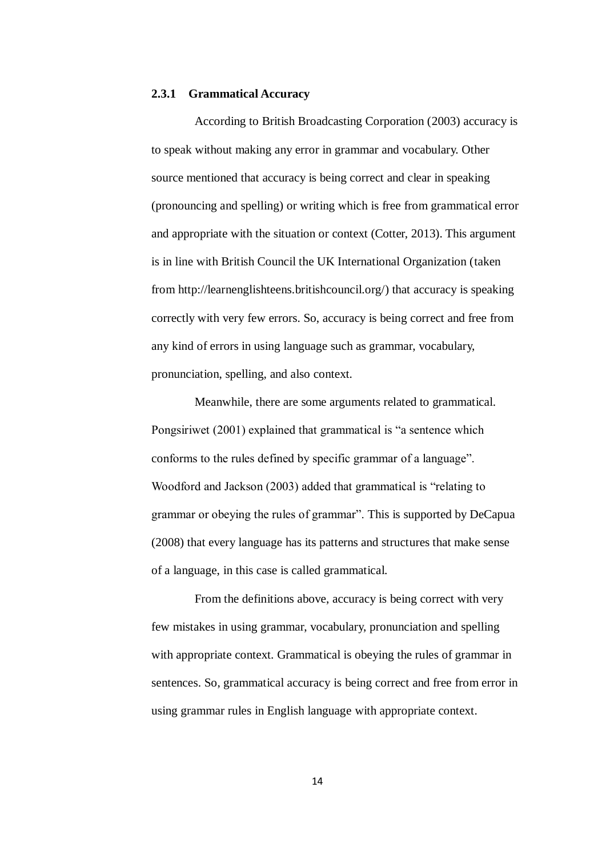#### **2.3.1 Grammatical Accuracy**

According to British Broadcasting Corporation (2003) accuracy is to speak without making any error in grammar and vocabulary. Other source mentioned that accuracy is being correct and clear in speaking (pronouncing and spelling) or writing which is free from grammatical error and appropriate with the situation or context (Cotter, 2013). This argument is in line with British Council the UK International Organization (taken from http://learnenglishteens.britishcouncil.org/) that accuracy is speaking correctly with very few errors. So, accuracy is being correct and free from any kind of errors in using language such as grammar, vocabulary, pronunciation, spelling, and also context.

Meanwhile, there are some arguments related to grammatical. Pongsiriwet (2001) explained that grammatical is "a sentence which conforms to the rules defined by specific grammar of a language". Woodford and Jackson (2003) added that grammatical is "relating to grammar or obeying the rules of grammar". This is supported by DeCapua (2008) that every language has its patterns and structures that make sense of a language, in this case is called grammatical.

From the definitions above, accuracy is being correct with very few mistakes in using grammar, vocabulary, pronunciation and spelling with appropriate context. Grammatical is obeying the rules of grammar in sentences. So, grammatical accuracy is being correct and free from error in using grammar rules in English language with appropriate context.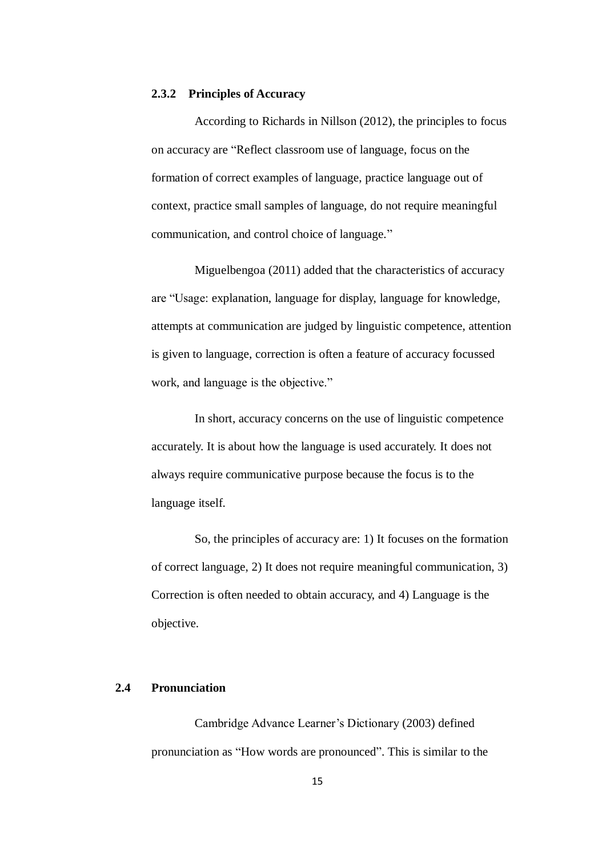#### **2.3.2 Principles of Accuracy**

According to Richards in Nillson (2012), the principles to focus on accuracy are "Reflect classroom use of language, focus on the formation of correct examples of language, practice language out of context, practice small samples of language, do not require meaningful communication, and control choice of language."

Miguelbengoa (2011) added that the characteristics of accuracy are "Usage: explanation, language for display, language for knowledge, attempts at communication are judged by linguistic competence, attention is given to language, correction is often a feature of accuracy focussed work, and language is the objective."

In short, accuracy concerns on the use of linguistic competence accurately. It is about how the language is used accurately. It does not always require communicative purpose because the focus is to the language itself.

So, the principles of accuracy are: 1) It focuses on the formation of correct language, 2) It does not require meaningful communication, 3) Correction is often needed to obtain accuracy, and 4) Language is the objective.

#### **2.4 Pronunciation**

Cambridge Advance Learner"s Dictionary (2003) defined pronunciation as "How words are pronounced". This is similar to the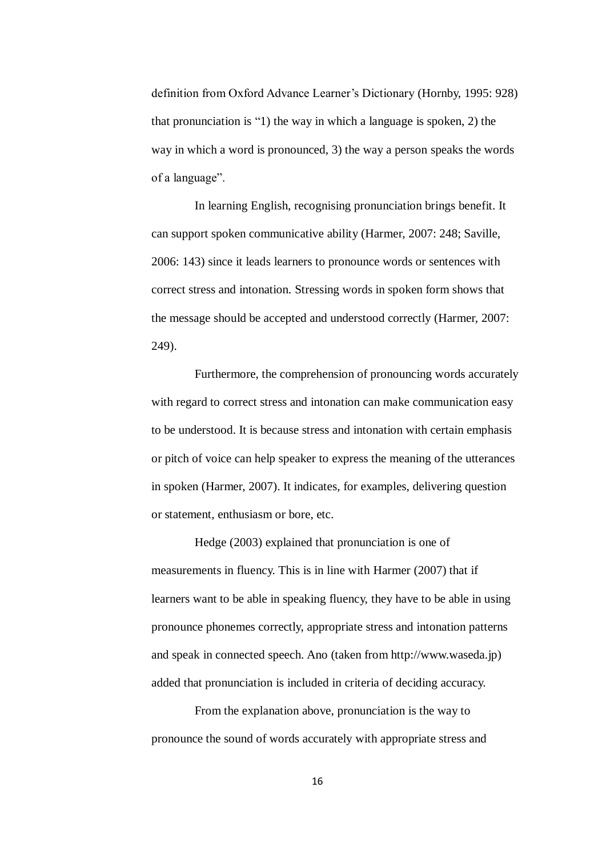definition from Oxford Advance Learner"s Dictionary (Hornby, 1995: 928) that pronunciation is "1) the way in which a language is spoken, 2) the way in which a word is pronounced, 3) the way a person speaks the words of a language".

In learning English, recognising pronunciation brings benefit. It can support spoken communicative ability (Harmer, 2007: 248; Saville, 2006: 143) since it leads learners to pronounce words or sentences with correct stress and intonation. Stressing words in spoken form shows that the message should be accepted and understood correctly (Harmer, 2007: 249).

Furthermore, the comprehension of pronouncing words accurately with regard to correct stress and intonation can make communication easy to be understood. It is because stress and intonation with certain emphasis or pitch of voice can help speaker to express the meaning of the utterances in spoken (Harmer, 2007). It indicates, for examples, delivering question or statement, enthusiasm or bore, etc.

Hedge (2003) explained that pronunciation is one of measurements in fluency. This is in line with Harmer (2007) that if learners want to be able in speaking fluency, they have to be able in using pronounce phonemes correctly, appropriate stress and intonation patterns and speak in connected speech. Ano (taken from http://www.waseda.jp) added that pronunciation is included in criteria of deciding accuracy.

From the explanation above, pronunciation is the way to pronounce the sound of words accurately with appropriate stress and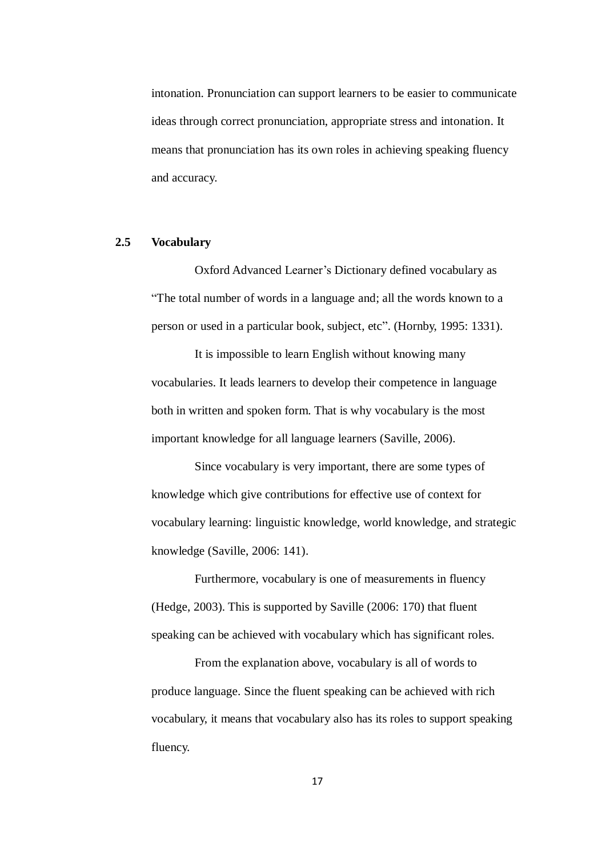intonation. Pronunciation can support learners to be easier to communicate ideas through correct pronunciation, appropriate stress and intonation. It means that pronunciation has its own roles in achieving speaking fluency and accuracy.

## **2.5 Vocabulary**

Oxford Advanced Learner"s Dictionary defined vocabulary as "The total number of words in a language and; all the words known to a person or used in a particular book, subject, etc". (Hornby, 1995: 1331).

It is impossible to learn English without knowing many vocabularies. It leads learners to develop their competence in language both in written and spoken form. That is why vocabulary is the most important knowledge for all language learners (Saville, 2006).

Since vocabulary is very important, there are some types of knowledge which give contributions for effective use of context for vocabulary learning: linguistic knowledge, world knowledge, and strategic knowledge (Saville, 2006: 141).

Furthermore, vocabulary is one of measurements in fluency (Hedge, 2003). This is supported by Saville (2006: 170) that fluent speaking can be achieved with vocabulary which has significant roles.

From the explanation above, vocabulary is all of words to produce language. Since the fluent speaking can be achieved with rich vocabulary, it means that vocabulary also has its roles to support speaking fluency.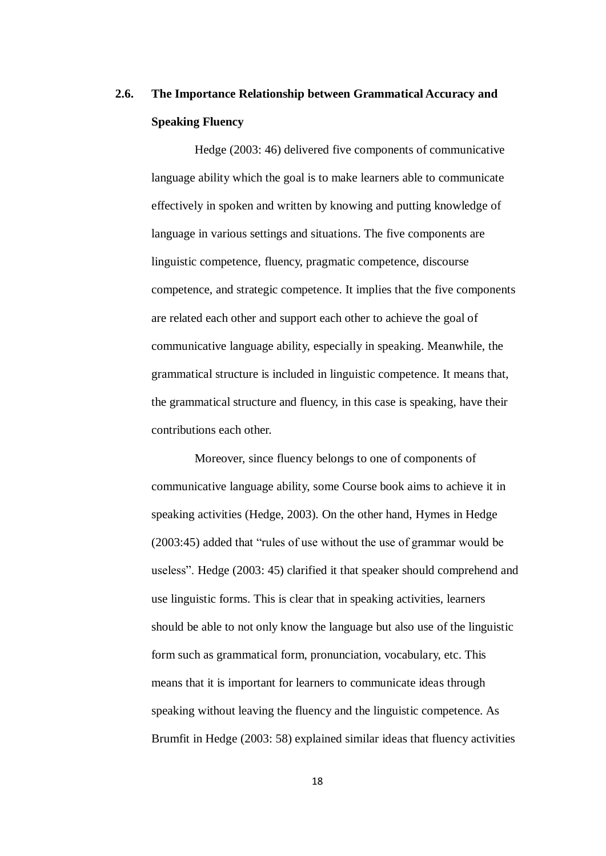# **2.6. The Importance Relationship between Grammatical Accuracy and Speaking Fluency**

Hedge (2003: 46) delivered five components of communicative language ability which the goal is to make learners able to communicate effectively in spoken and written by knowing and putting knowledge of language in various settings and situations. The five components are linguistic competence, fluency, pragmatic competence, discourse competence, and strategic competence. It implies that the five components are related each other and support each other to achieve the goal of communicative language ability, especially in speaking. Meanwhile, the grammatical structure is included in linguistic competence. It means that, the grammatical structure and fluency, in this case is speaking, have their contributions each other.

Moreover, since fluency belongs to one of components of communicative language ability, some Course book aims to achieve it in speaking activities (Hedge, 2003). On the other hand, Hymes in Hedge (2003:45) added that "rules of use without the use of grammar would be useless". Hedge (2003: 45) clarified it that speaker should comprehend and use linguistic forms. This is clear that in speaking activities, learners should be able to not only know the language but also use of the linguistic form such as grammatical form, pronunciation, vocabulary, etc. This means that it is important for learners to communicate ideas through speaking without leaving the fluency and the linguistic competence. As Brumfit in Hedge (2003: 58) explained similar ideas that fluency activities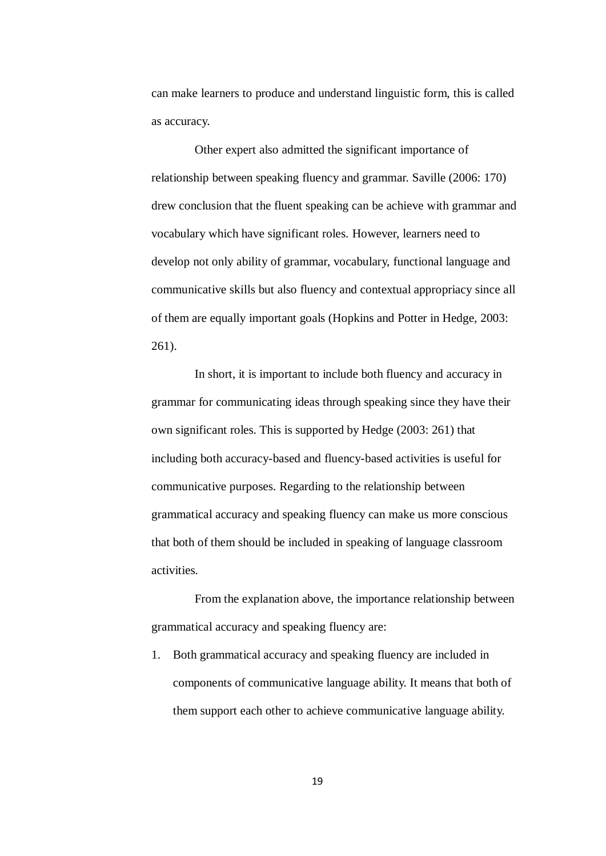can make learners to produce and understand linguistic form, this is called as accuracy.

Other expert also admitted the significant importance of relationship between speaking fluency and grammar. Saville (2006: 170) drew conclusion that the fluent speaking can be achieve with grammar and vocabulary which have significant roles. However, learners need to develop not only ability of grammar, vocabulary, functional language and communicative skills but also fluency and contextual appropriacy since all of them are equally important goals (Hopkins and Potter in Hedge, 2003: 261).

In short, it is important to include both fluency and accuracy in grammar for communicating ideas through speaking since they have their own significant roles. This is supported by Hedge (2003: 261) that including both accuracy-based and fluency-based activities is useful for communicative purposes. Regarding to the relationship between grammatical accuracy and speaking fluency can make us more conscious that both of them should be included in speaking of language classroom activities.

From the explanation above, the importance relationship between grammatical accuracy and speaking fluency are:

1. Both grammatical accuracy and speaking fluency are included in components of communicative language ability. It means that both of them support each other to achieve communicative language ability.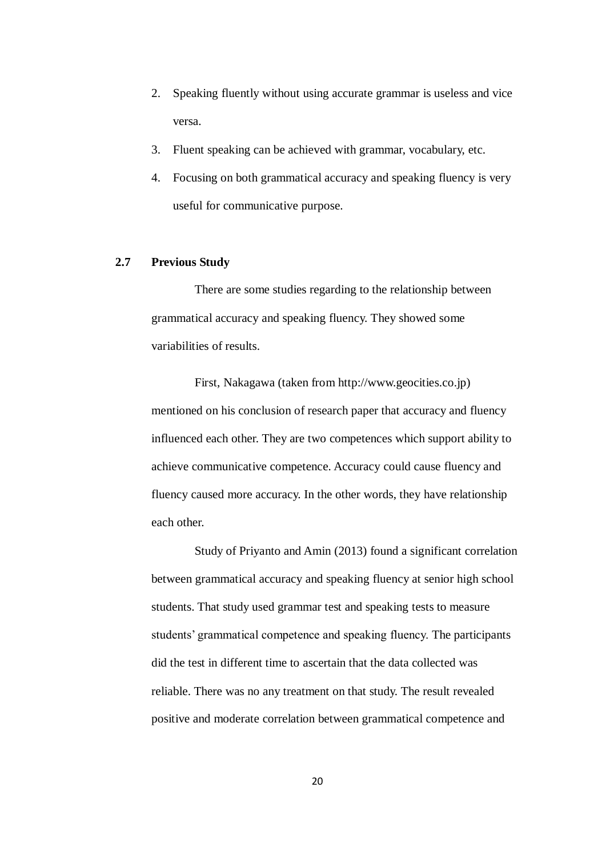- 2. Speaking fluently without using accurate grammar is useless and vice versa.
- 3. Fluent speaking can be achieved with grammar, vocabulary, etc.
- 4. Focusing on both grammatical accuracy and speaking fluency is very useful for communicative purpose.

## **2.7 Previous Study**

There are some studies regarding to the relationship between grammatical accuracy and speaking fluency. They showed some variabilities of results.

First, Nakagawa (taken from http://www.geocities.co.jp) mentioned on his conclusion of research paper that accuracy and fluency influenced each other. They are two competences which support ability to achieve communicative competence. Accuracy could cause fluency and fluency caused more accuracy. In the other words, they have relationship each other.

Study of Priyanto and Amin (2013) found a significant correlation between grammatical accuracy and speaking fluency at senior high school students. That study used grammar test and speaking tests to measure students" grammatical competence and speaking fluency. The participants did the test in different time to ascertain that the data collected was reliable. There was no any treatment on that study. The result revealed positive and moderate correlation between grammatical competence and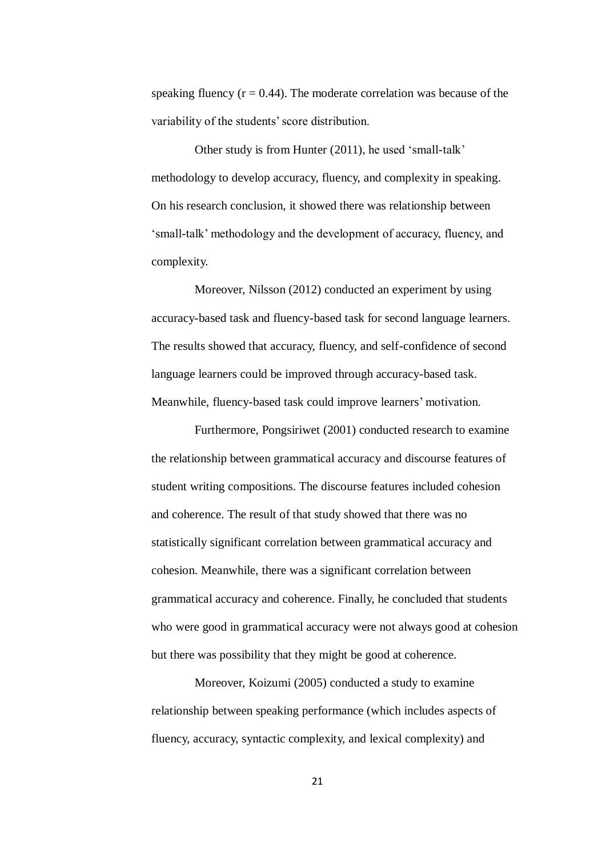speaking fluency  $(r = 0.44)$ . The moderate correlation was because of the variability of the students' score distribution.

Other study is from Hunter (2011), he used 'small-talk' methodology to develop accuracy, fluency, and complexity in speaking. On his research conclusion, it showed there was relationship between "small-talk" methodology and the development of accuracy, fluency, and complexity.

Moreover, Nilsson (2012) conducted an experiment by using accuracy-based task and fluency-based task for second language learners. The results showed that accuracy, fluency, and self-confidence of second language learners could be improved through accuracy-based task. Meanwhile, fluency-based task could improve learners' motivation.

Furthermore, Pongsiriwet (2001) conducted research to examine the relationship between grammatical accuracy and discourse features of student writing compositions. The discourse features included cohesion and coherence. The result of that study showed that there was no statistically significant correlation between grammatical accuracy and cohesion. Meanwhile, there was a significant correlation between grammatical accuracy and coherence. Finally, he concluded that students who were good in grammatical accuracy were not always good at cohesion but there was possibility that they might be good at coherence.

Moreover, Koizumi (2005) conducted a study to examine relationship between speaking performance (which includes aspects of fluency, accuracy, syntactic complexity, and lexical complexity) and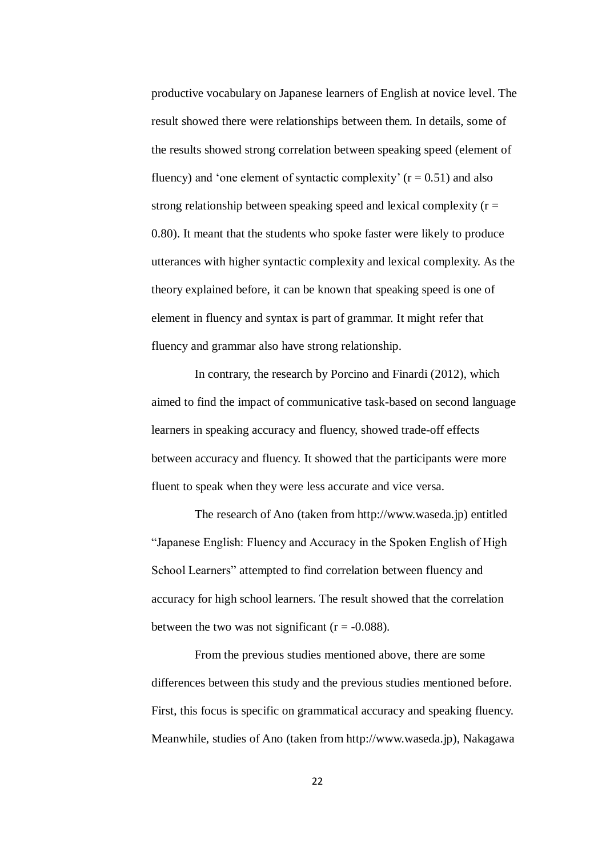productive vocabulary on Japanese learners of English at novice level. The result showed there were relationships between them. In details, some of the results showed strong correlation between speaking speed (element of fluency) and 'one element of syntactic complexity'  $(r = 0.51)$  and also strong relationship between speaking speed and lexical complexity  $(r =$ 0.80). It meant that the students who spoke faster were likely to produce utterances with higher syntactic complexity and lexical complexity. As the theory explained before, it can be known that speaking speed is one of element in fluency and syntax is part of grammar. It might refer that fluency and grammar also have strong relationship.

In contrary, the research by Porcino and Finardi (2012), which aimed to find the impact of communicative task-based on second language learners in speaking accuracy and fluency, showed trade-off effects between accuracy and fluency. It showed that the participants were more fluent to speak when they were less accurate and vice versa.

The research of Ano (taken from http://www.waseda.jp) entitled "Japanese English: Fluency and Accuracy in the Spoken English of High School Learners" attempted to find correlation between fluency and accuracy for high school learners. The result showed that the correlation between the two was not significant  $(r = -0.088)$ .

From the previous studies mentioned above, there are some differences between this study and the previous studies mentioned before. First, this focus is specific on grammatical accuracy and speaking fluency. Meanwhile, studies of Ano (taken from http://www.waseda.jp), Nakagawa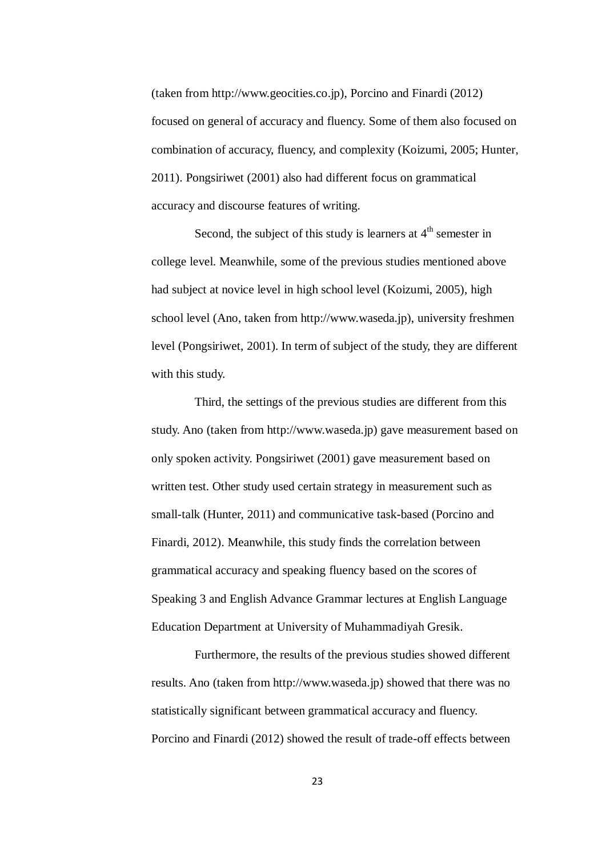(taken from http://www.geocities.co.jp), Porcino and Finardi (2012) focused on general of accuracy and fluency. Some of them also focused on combination of accuracy, fluency, and complexity (Koizumi, 2005; Hunter, 2011). Pongsiriwet (2001) also had different focus on grammatical accuracy and discourse features of writing.

Second, the subject of this study is learners at  $4<sup>th</sup>$  semester in college level. Meanwhile, some of the previous studies mentioned above had subject at novice level in high school level (Koizumi, 2005), high school level (Ano, taken from http://www.waseda.jp), university freshmen level (Pongsiriwet, 2001). In term of subject of the study, they are different with this study.

Third, the settings of the previous studies are different from this study. Ano (taken from http://www.waseda.jp) gave measurement based on only spoken activity. Pongsiriwet (2001) gave measurement based on written test. Other study used certain strategy in measurement such as small-talk (Hunter, 2011) and communicative task-based (Porcino and Finardi, 2012). Meanwhile, this study finds the correlation between grammatical accuracy and speaking fluency based on the scores of Speaking 3 and English Advance Grammar lectures at English Language Education Department at University of Muhammadiyah Gresik.

Furthermore, the results of the previous studies showed different results. Ano (taken from http://www.waseda.jp) showed that there was no statistically significant between grammatical accuracy and fluency. Porcino and Finardi (2012) showed the result of trade-off effects between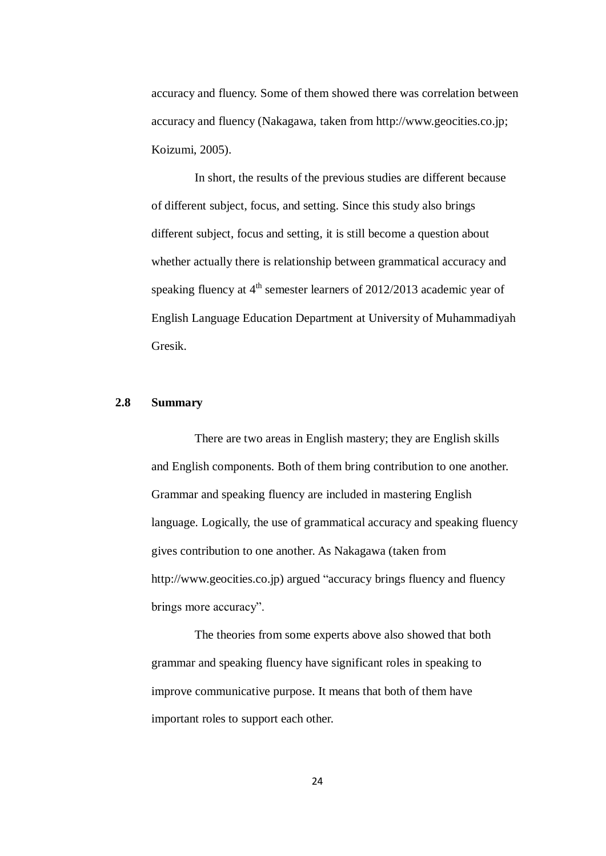accuracy and fluency. Some of them showed there was correlation between accuracy and fluency (Nakagawa, taken from http://www.geocities.co.jp; Koizumi, 2005).

In short, the results of the previous studies are different because of different subject, focus, and setting. Since this study also brings different subject, focus and setting, it is still become a question about whether actually there is relationship between grammatical accuracy and speaking fluency at  $4<sup>th</sup>$  semester learners of 2012/2013 academic year of English Language Education Department at University of Muhammadiyah Gresik.

#### **2.8 Summary**

There are two areas in English mastery; they are English skills and English components. Both of them bring contribution to one another. Grammar and speaking fluency are included in mastering English language. Logically, the use of grammatical accuracy and speaking fluency gives contribution to one another. As Nakagawa (taken from http://www.geocities.co.jp) argued "accuracy brings fluency and fluency brings more accuracy".

The theories from some experts above also showed that both grammar and speaking fluency have significant roles in speaking to improve communicative purpose. It means that both of them have important roles to support each other.